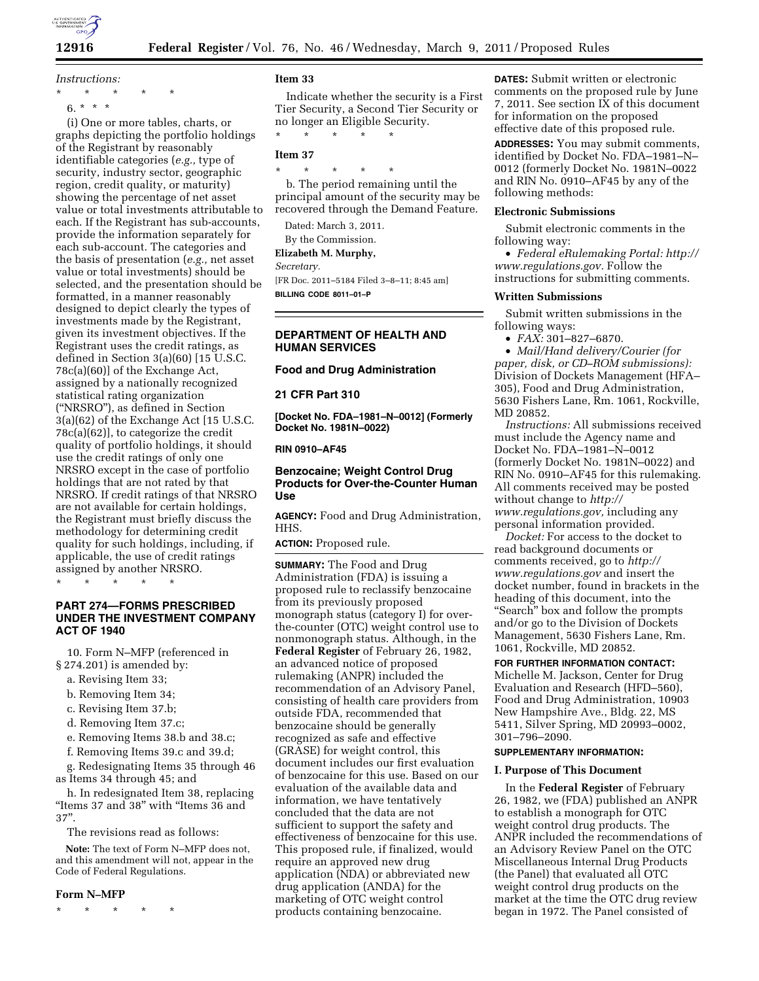

*Instructions:* 

\* \* \* \* \* 6. \* \* \*

(i) One or more tables, charts, or graphs depicting the portfolio holdings of the Registrant by reasonably identifiable categories (*e.g.,* type of security, industry sector, geographic region, credit quality, or maturity) showing the percentage of net asset value or total investments attributable to each. If the Registrant has sub-accounts, provide the information separately for each sub-account. The categories and the basis of presentation (*e.g.,* net asset value or total investments) should be selected, and the presentation should be formatted, in a manner reasonably designed to depict clearly the types of investments made by the Registrant, given its investment objectives. If the Registrant uses the credit ratings, as defined in Section 3(a)(60) [15 U.S.C. 78c(a)(60)] of the Exchange Act, assigned by a nationally recognized statistical rating organization (''NRSRO''), as defined in Section 3(a)(62) of the Exchange Act [15 U.S.C. 78c(a)(62)], to categorize the credit quality of portfolio holdings, it should use the credit ratings of only one NRSRO except in the case of portfolio holdings that are not rated by that NRSRO. If credit ratings of that NRSRO are not available for certain holdings, the Registrant must briefly discuss the methodology for determining credit quality for such holdings, including, if applicable, the use of credit ratings assigned by another NRSRO.

\* \* \* \* \*

# **PART 274—FORMS PRESCRIBED UNDER THE INVESTMENT COMPANY ACT OF 1940**

10. Form N–MFP (referenced in § 274.201) is amended by:

- a. Revising Item 33;
- b. Removing Item 34;
- c. Revising Item 37.b;
- d. Removing Item 37.c;

e. Removing Items 38.b and 38.c;

f. Removing Items 39.c and 39.d;

g. Redesignating Items 35 through 46 as Items 34 through 45; and

h. In redesignated Item 38, replacing "Items 37 and 38" with "Items 36 and 37''.

The revisions read as follows:

**Note:** The text of Form N–MFP does not, and this amendment will not, appear in the Code of Federal Regulations.

#### **Form N–MFP**

\* \* \* \* \*

### **Item 33**

Indicate whether the security is a First Tier Security, a Second Tier Security or no longer an Eligible Security.

\* \* \* \* \*

# **Item 37**

\* \* \* \* \* b. The period remaining until the principal amount of the security may be recovered through the Demand Feature.

Dated: March 3, 2011.

By the Commission.

**Elizabeth M. Murphy,** 

*Secretary.* 

[FR Doc. 2011–5184 Filed 3–8–11; 8:45 am] **BILLING CODE 8011–01–P** 

# **DEPARTMENT OF HEALTH AND HUMAN SERVICES**

#### **Food and Drug Administration**

#### **21 CFR Part 310**

**[Docket No. FDA–1981–N–0012] (Formerly Docket No. 1981N–0022)** 

#### **RIN 0910–AF45**

# **Benzocaine; Weight Control Drug Products for Over-the-Counter Human Use**

**AGENCY:** Food and Drug Administration, HHS.

**ACTION:** Proposed rule.

**SUMMARY:** The Food and Drug Administration (FDA) is issuing a proposed rule to reclassify benzocaine from its previously proposed monograph status (category I) for overthe-counter (OTC) weight control use to nonmonograph status. Although, in the **Federal Register** of February 26, 1982, an advanced notice of proposed rulemaking (ANPR) included the recommendation of an Advisory Panel, consisting of health care providers from outside FDA, recommended that benzocaine should be generally recognized as safe and effective (GRASE) for weight control, this document includes our first evaluation of benzocaine for this use. Based on our evaluation of the available data and information, we have tentatively concluded that the data are not sufficient to support the safety and effectiveness of benzocaine for this use. This proposed rule, if finalized, would require an approved new drug application (NDA) or abbreviated new drug application (ANDA) for the marketing of OTC weight control products containing benzocaine.

**DATES:** Submit written or electronic comments on the proposed rule by June 7, 2011. See section IX of this document for information on the proposed effective date of this proposed rule.

**ADDRESSES:** You may submit comments, identified by Docket No. FDA–1981–N– 0012 (formerly Docket No. 1981N–0022 and RIN No. 0910–AF45 by any of the following methods:

### **Electronic Submissions**

Submit electronic comments in the following way:

• *Federal eRulemaking Portal: [http://](http://www.regulations.gov)  [www.regulations.gov.](http://www.regulations.gov)* Follow the instructions for submitting comments.

#### **Written Submissions**

Submit written submissions in the following ways:

• *FAX:* 301–827–6870.

• *Mail/Hand delivery/Courier (for paper, disk, or CD–ROM submissions):*  Division of Dockets Management (HFA– 305), Food and Drug Administration, 5630 Fishers Lane, Rm. 1061, Rockville, MD 20852.

*Instructions:* All submissions received must include the Agency name and Docket No. FDA–1981–N–0012 (formerly Docket No. 1981N–0022) and RIN No. 0910–AF45 for this rulemaking. All comments received may be posted without change to *[http://](http://www.regulations.gov) [www.regulations.gov,](http://www.regulations.gov)* including any personal information provided.

*Docket:* For access to the docket to read background documents or comments received, go to *[http://](http://www.regulations.gov)  [www.regulations.gov](http://www.regulations.gov)* and insert the docket number, found in brackets in the heading of this document, into the ''Search'' box and follow the prompts and/or go to the Division of Dockets Management, 5630 Fishers Lane, Rm. 1061, Rockville, MD 20852.

### **FOR FURTHER INFORMATION CONTACT:**

Michelle M. Jackson, Center for Drug Evaluation and Research (HFD–560), Food and Drug Administration, 10903 New Hampshire Ave., Bldg. 22, MS 5411, Silver Spring, MD 20993–0002, 301–796–2090.

# **SUPPLEMENTARY INFORMATION:**

# **I. Purpose of This Document**

In the **Federal Register** of February 26, 1982, we (FDA) published an ANPR to establish a monograph for OTC weight control drug products. The ANPR included the recommendations of an Advisory Review Panel on the OTC Miscellaneous Internal Drug Products (the Panel) that evaluated all OTC weight control drug products on the market at the time the OTC drug review began in 1972. The Panel consisted of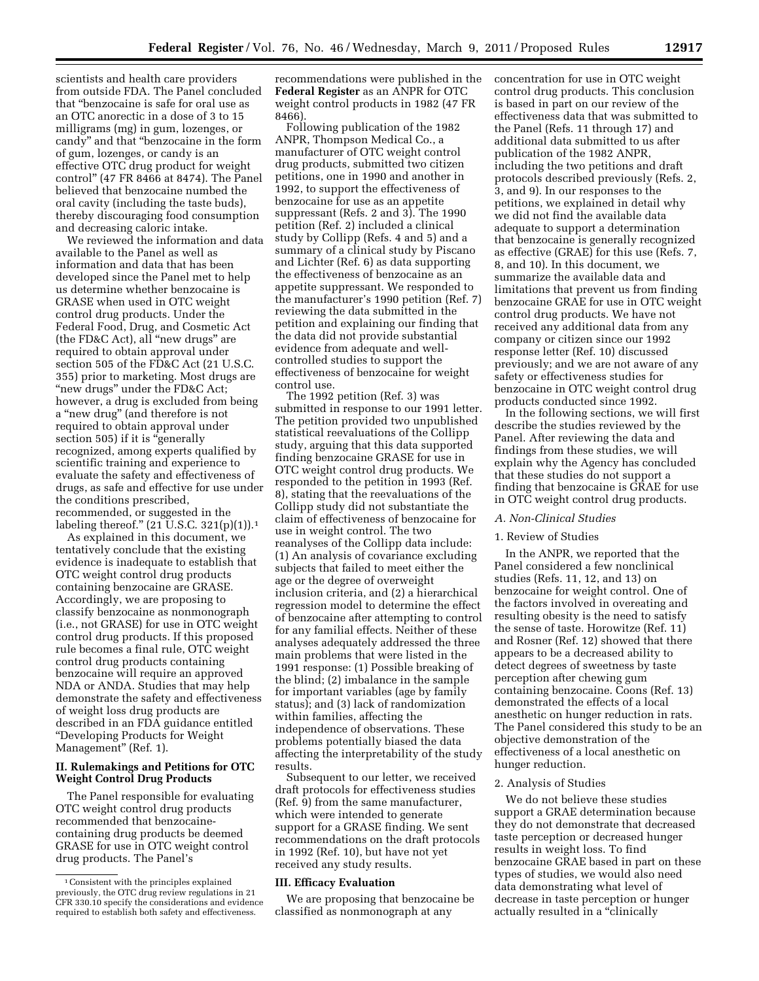scientists and health care providers from outside FDA. The Panel concluded that ''benzocaine is safe for oral use as an OTC anorectic in a dose of 3 to 15 milligrams (mg) in gum, lozenges, or candy'' and that ''benzocaine in the form of gum, lozenges, or candy is an effective OTC drug product for weight control'' (47 FR 8466 at 8474). The Panel believed that benzocaine numbed the oral cavity (including the taste buds), thereby discouraging food consumption and decreasing caloric intake.

We reviewed the information and data available to the Panel as well as information and data that has been developed since the Panel met to help us determine whether benzocaine is GRASE when used in OTC weight control drug products. Under the Federal Food, Drug, and Cosmetic Act (the FD&C Act), all ''new drugs'' are required to obtain approval under section 505 of the FD&C Act (21 U.S.C. 355) prior to marketing. Most drugs are ''new drugs'' under the FD&C Act; however, a drug is excluded from being a ''new drug'' (and therefore is not required to obtain approval under section 505) if it is "generally recognized, among experts qualified by scientific training and experience to evaluate the safety and effectiveness of drugs, as safe and effective for use under the conditions prescribed, recommended, or suggested in the labeling thereof.'' (21 U.S.C. 321(p)(1)).1

As explained in this document, we tentatively conclude that the existing evidence is inadequate to establish that OTC weight control drug products containing benzocaine are GRASE. Accordingly, we are proposing to classify benzocaine as nonmonograph (i.e., not GRASE) for use in OTC weight control drug products. If this proposed rule becomes a final rule, OTC weight control drug products containing benzocaine will require an approved NDA or ANDA. Studies that may help demonstrate the safety and effectiveness of weight loss drug products are described in an FDA guidance entitled ''Developing Products for Weight Management'' (Ref. 1).

# **II. Rulemakings and Petitions for OTC Weight Control Drug Products**

The Panel responsible for evaluating OTC weight control drug products recommended that benzocainecontaining drug products be deemed GRASE for use in OTC weight control drug products. The Panel's

recommendations were published in the **Federal Register** as an ANPR for OTC weight control products in 1982 (47 FR 8466).

Following publication of the 1982 ANPR, Thompson Medical Co., a manufacturer of OTC weight control drug products, submitted two citizen petitions, one in 1990 and another in 1992, to support the effectiveness of benzocaine for use as an appetite suppressant (Refs. 2 and 3). The 1990 petition (Ref. 2) included a clinical study by Collipp (Refs. 4 and 5) and a summary of a clinical study by Piscano and Lichter (Ref. 6) as data supporting the effectiveness of benzocaine as an appetite suppressant. We responded to the manufacturer's 1990 petition (Ref. 7) reviewing the data submitted in the petition and explaining our finding that the data did not provide substantial evidence from adequate and wellcontrolled studies to support the effectiveness of benzocaine for weight control use.

The 1992 petition (Ref. 3) was submitted in response to our 1991 letter. The petition provided two unpublished statistical reevaluations of the Collipp study, arguing that this data supported finding benzocaine GRASE for use in OTC weight control drug products. We responded to the petition in 1993 (Ref. 8), stating that the reevaluations of the Collipp study did not substantiate the claim of effectiveness of benzocaine for use in weight control. The two reanalyses of the Collipp data include: (1) An analysis of covariance excluding subjects that failed to meet either the age or the degree of overweight inclusion criteria, and (2) a hierarchical regression model to determine the effect of benzocaine after attempting to control for any familial effects. Neither of these analyses adequately addressed the three main problems that were listed in the 1991 response: (1) Possible breaking of the blind; (2) imbalance in the sample for important variables (age by family status); and (3) lack of randomization within families, affecting the independence of observations. These problems potentially biased the data affecting the interpretability of the study results.

Subsequent to our letter, we received draft protocols for effectiveness studies (Ref. 9) from the same manufacturer, which were intended to generate support for a GRASE finding. We sent recommendations on the draft protocols in 1992 (Ref. 10), but have not yet received any study results.

### **III. Efficacy Evaluation**

We are proposing that benzocaine be classified as nonmonograph at any

concentration for use in OTC weight control drug products. This conclusion is based in part on our review of the effectiveness data that was submitted to the Panel (Refs. 11 through 17) and additional data submitted to us after publication of the 1982 ANPR, including the two petitions and draft protocols described previously (Refs. 2, 3, and 9). In our responses to the petitions, we explained in detail why we did not find the available data adequate to support a determination that benzocaine is generally recognized as effective (GRAE) for this use (Refs. 7, 8, and 10). In this document, we summarize the available data and limitations that prevent us from finding benzocaine GRAE for use in OTC weight control drug products. We have not received any additional data from any company or citizen since our 1992 response letter (Ref. 10) discussed previously; and we are not aware of any safety or effectiveness studies for benzocaine in OTC weight control drug products conducted since 1992.

In the following sections, we will first describe the studies reviewed by the Panel. After reviewing the data and findings from these studies, we will explain why the Agency has concluded that these studies do not support a finding that benzocaine is GRAE for use in OTC weight control drug products.

#### *A. Non-Clinical Studies*

#### 1. Review of Studies

In the ANPR, we reported that the Panel considered a few nonclinical studies (Refs. 11, 12, and 13) on benzocaine for weight control. One of the factors involved in overeating and resulting obesity is the need to satisfy the sense of taste. Horowitze (Ref. 11) and Rosner (Ref. 12) showed that there appears to be a decreased ability to detect degrees of sweetness by taste perception after chewing gum containing benzocaine. Coons (Ref. 13) demonstrated the effects of a local anesthetic on hunger reduction in rats. The Panel considered this study to be an objective demonstration of the effectiveness of a local anesthetic on hunger reduction.

#### 2. Analysis of Studies

We do not believe these studies support a GRAE determination because they do not demonstrate that decreased taste perception or decreased hunger results in weight loss. To find benzocaine GRAE based in part on these types of studies, we would also need data demonstrating what level of decrease in taste perception or hunger actually resulted in a ''clinically

<sup>1</sup>Consistent with the principles explained previously, the OTC drug review regulations in 21 CFR 330.10 specify the considerations and evidence required to establish both safety and effectiveness.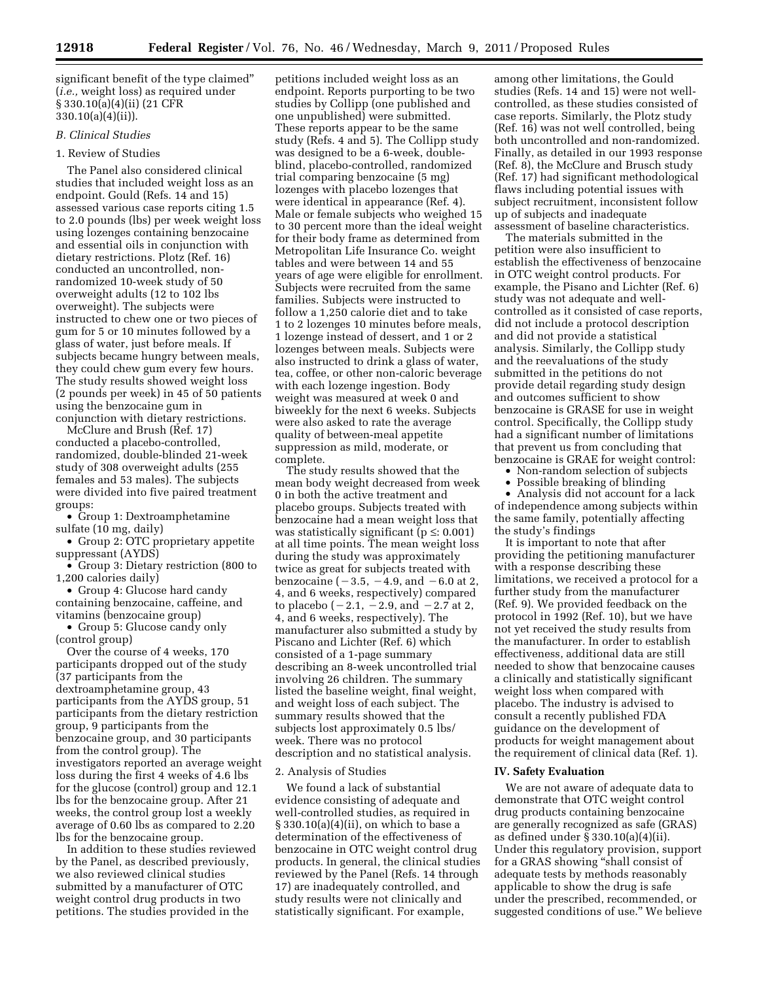significant benefit of the type claimed'' (*i.e.,* weight loss) as required under § 330.10(a)(4)(ii) (21 CFR 330.10(a)(4)(ii)).

# *B. Clinical Studies*

## 1. Review of Studies

The Panel also considered clinical studies that included weight loss as an endpoint. Gould (Refs. 14 and 15) assessed various case reports citing 1.5 to 2.0 pounds (lbs) per week weight loss using lozenges containing benzocaine and essential oils in conjunction with dietary restrictions. Plotz (Ref. 16) conducted an uncontrolled, nonrandomized 10-week study of 50 overweight adults (12 to 102 lbs overweight). The subjects were instructed to chew one or two pieces of gum for 5 or 10 minutes followed by a glass of water, just before meals. If subjects became hungry between meals, they could chew gum every few hours. The study results showed weight loss (2 pounds per week) in 45 of 50 patients using the benzocaine gum in conjunction with dietary restrictions.

McClure and Brush (Ref. 17) conducted a placebo-controlled, randomized, double-blinded 21-week study of 308 overweight adults (255 females and 53 males). The subjects were divided into five paired treatment groups:

• Group 1: Dextroamphetamine sulfate (10 mg, daily)

• Group 2: OTC proprietary appetite suppressant (AYDS)

• Group 3: Dietary restriction (800 to 1,200 calories daily)

• Group 4: Glucose hard candy containing benzocaine, caffeine, and vitamins (benzocaine group)

• Group 5: Glucose candy only (control group)

Over the course of 4 weeks, 170 participants dropped out of the study (37 participants from the dextroamphetamine group, 43 participants from the AYDS group, 51 participants from the dietary restriction group, 9 participants from the benzocaine group, and 30 participants from the control group). The investigators reported an average weight loss during the first 4 weeks of 4.6 lbs for the glucose (control) group and 12.1 lbs for the benzocaine group. After 21 weeks, the control group lost a weekly average of 0.60 lbs as compared to 2.20 lbs for the benzocaine group.

In addition to these studies reviewed by the Panel, as described previously, we also reviewed clinical studies submitted by a manufacturer of OTC weight control drug products in two petitions. The studies provided in the

petitions included weight loss as an endpoint. Reports purporting to be two studies by Collipp (one published and one unpublished) were submitted. These reports appear to be the same study (Refs. 4 and 5). The Collipp study was designed to be a 6-week, doubleblind, placebo-controlled, randomized trial comparing benzocaine (5 mg) lozenges with placebo lozenges that were identical in appearance (Ref. 4). Male or female subjects who weighed 15 to 30 percent more than the ideal weight for their body frame as determined from Metropolitan Life Insurance Co. weight tables and were between 14 and 55 years of age were eligible for enrollment. Subjects were recruited from the same families. Subjects were instructed to follow a 1,250 calorie diet and to take 1 to 2 lozenges 10 minutes before meals, 1 lozenge instead of dessert, and 1 or 2 lozenges between meals. Subjects were also instructed to drink a glass of water, tea, coffee, or other non-caloric beverage with each lozenge ingestion. Body weight was measured at week 0 and biweekly for the next 6 weeks. Subjects were also asked to rate the average quality of between-meal appetite suppression as mild, moderate, or complete.

The study results showed that the mean body weight decreased from week 0 in both the active treatment and placebo groups. Subjects treated with benzocaine had a mean weight loss that was statistically significant ( $p \le 0.001$ ) at all time points. The mean weight loss during the study was approximately twice as great for subjects treated with benzocaine  $(-3.5, -4.9, \text{and } -6.0 \text{ at } 2,$ 4, and 6 weeks, respectively) compared to placebo  $(-2.1, -2.9, \text{and } -2.7 \text{ at } 2,$ 4, and 6 weeks, respectively). The manufacturer also submitted a study by Piscano and Lichter (Ref. 6) which consisted of a 1-page summary describing an 8-week uncontrolled trial involving 26 children. The summary listed the baseline weight, final weight, and weight loss of each subject. The summary results showed that the subjects lost approximately 0.5 lbs/ week. There was no protocol description and no statistical analysis.

#### 2. Analysis of Studies

We found a lack of substantial evidence consisting of adequate and well-controlled studies, as required in § 330.10(a)(4)(ii), on which to base a determination of the effectiveness of benzocaine in OTC weight control drug products. In general, the clinical studies reviewed by the Panel (Refs. 14 through 17) are inadequately controlled, and study results were not clinically and statistically significant. For example,

among other limitations, the Gould studies (Refs. 14 and 15) were not wellcontrolled, as these studies consisted of case reports. Similarly, the Plotz study (Ref. 16) was not well controlled, being both uncontrolled and non-randomized. Finally, as detailed in our 1993 response (Ref. 8), the McClure and Brusch study (Ref. 17) had significant methodological flaws including potential issues with subject recruitment, inconsistent follow up of subjects and inadequate assessment of baseline characteristics.

The materials submitted in the petition were also insufficient to establish the effectiveness of benzocaine in OTC weight control products. For example, the Pisano and Lichter (Ref. 6) study was not adequate and wellcontrolled as it consisted of case reports, did not include a protocol description and did not provide a statistical analysis. Similarly, the Collipp study and the reevaluations of the study submitted in the petitions do not provide detail regarding study design and outcomes sufficient to show benzocaine is GRASE for use in weight control. Specifically, the Collipp study had a significant number of limitations that prevent us from concluding that benzocaine is GRAE for weight control:

• Non-random selection of subjects

• Possible breaking of blinding

• Analysis did not account for a lack of independence among subjects within the same family, potentially affecting the study's findings

It is important to note that after providing the petitioning manufacturer with a response describing these limitations, we received a protocol for a further study from the manufacturer (Ref. 9). We provided feedback on the protocol in 1992 (Ref. 10), but we have not yet received the study results from the manufacturer. In order to establish effectiveness, additional data are still needed to show that benzocaine causes a clinically and statistically significant weight loss when compared with placebo. The industry is advised to consult a recently published FDA guidance on the development of products for weight management about the requirement of clinical data (Ref. 1).

#### **IV. Safety Evaluation**

We are not aware of adequate data to demonstrate that OTC weight control drug products containing benzocaine are generally recognized as safe (GRAS) as defined under § 330.10(a)(4)(ii). Under this regulatory provision, support for a GRAS showing ''shall consist of adequate tests by methods reasonably applicable to show the drug is safe under the prescribed, recommended, or suggested conditions of use.'' We believe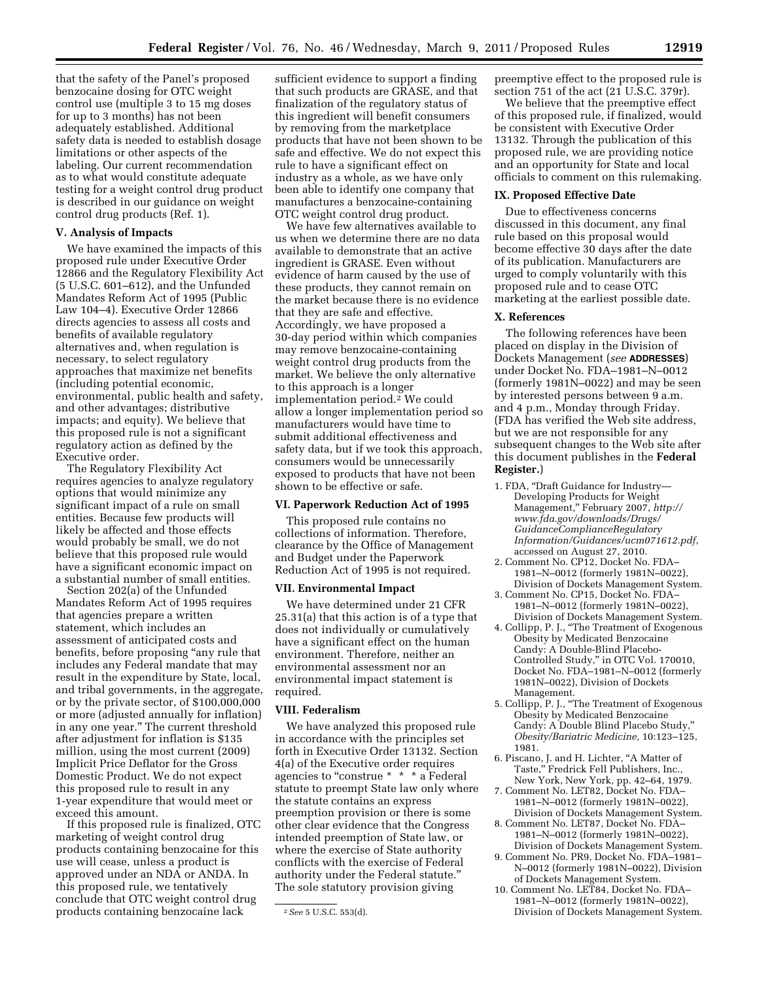that the safety of the Panel's proposed benzocaine dosing for OTC weight control use (multiple 3 to 15 mg doses for up to 3 months) has not been adequately established. Additional safety data is needed to establish dosage limitations or other aspects of the labeling. Our current recommendation as to what would constitute adequate testing for a weight control drug product is described in our guidance on weight control drug products (Ref. 1).

# **V. Analysis of Impacts**

We have examined the impacts of this proposed rule under Executive Order 12866 and the Regulatory Flexibility Act  $(5 \text{ U.S.C. } 601 - 612)$ , and the Unfunded Mandates Reform Act of 1995 (Public Law 104–4). Executive Order 12866 directs agencies to assess all costs and benefits of available regulatory alternatives and, when regulation is necessary, to select regulatory approaches that maximize net benefits (including potential economic, environmental, public health and safety, and other advantages; distributive impacts; and equity). We believe that this proposed rule is not a significant regulatory action as defined by the Executive order.

The Regulatory Flexibility Act requires agencies to analyze regulatory options that would minimize any significant impact of a rule on small entities. Because few products will likely be affected and those effects would probably be small, we do not believe that this proposed rule would have a significant economic impact on a substantial number of small entities.

Section 202(a) of the Unfunded Mandates Reform Act of 1995 requires that agencies prepare a written statement, which includes an assessment of anticipated costs and benefits, before proposing ''any rule that includes any Federal mandate that may result in the expenditure by State, local, and tribal governments, in the aggregate, or by the private sector, of \$100,000,000 or more (adjusted annually for inflation) in any one year.'' The current threshold after adjustment for inflation is \$135 million, using the most current (2009) Implicit Price Deflator for the Gross Domestic Product. We do not expect this proposed rule to result in any 1-year expenditure that would meet or exceed this amount.

If this proposed rule is finalized, OTC marketing of weight control drug products containing benzocaine for this use will cease, unless a product is approved under an NDA or ANDA. In this proposed rule, we tentatively conclude that OTC weight control drug products containing benzocaine lack

sufficient evidence to support a finding that such products are GRASE, and that finalization of the regulatory status of this ingredient will benefit consumers by removing from the marketplace products that have not been shown to be safe and effective. We do not expect this rule to have a significant effect on industry as a whole, as we have only been able to identify one company that manufactures a benzocaine-containing OTC weight control drug product.

We have few alternatives available to us when we determine there are no data available to demonstrate that an active ingredient is GRASE. Even without evidence of harm caused by the use of these products, they cannot remain on the market because there is no evidence that they are safe and effective. Accordingly, we have proposed a 30-day period within which companies may remove benzocaine-containing weight control drug products from the market. We believe the only alternative to this approach is a longer implementation period.2 We could allow a longer implementation period so manufacturers would have time to submit additional effectiveness and safety data, but if we took this approach, consumers would be unnecessarily exposed to products that have not been shown to be effective or safe.

#### **VI. Paperwork Reduction Act of 1995**

This proposed rule contains no collections of information. Therefore, clearance by the Office of Management and Budget under the Paperwork Reduction Act of 1995 is not required.

# **VII. Environmental Impact**

We have determined under 21 CFR 25.31(a) that this action is of a type that does not individually or cumulatively have a significant effect on the human environment. Therefore, neither an environmental assessment nor an environmental impact statement is required.

### **VIII. Federalism**

We have analyzed this proposed rule in accordance with the principles set forth in Executive Order 13132. Section 4(a) of the Executive order requires agencies to "construe \* \* \* a Federal statute to preempt State law only where the statute contains an express preemption provision or there is some other clear evidence that the Congress intended preemption of State law, or where the exercise of State authority conflicts with the exercise of Federal authority under the Federal statute.'' The sole statutory provision giving

preemptive effect to the proposed rule is section 751 of the act (21 U.S.C. 379r).

We believe that the preemptive effect of this proposed rule, if finalized, would be consistent with Executive Order 13132. Through the publication of this proposed rule, we are providing notice and an opportunity for State and local officials to comment on this rulemaking.

# **IX. Proposed Effective Date**

Due to effectiveness concerns discussed in this document, any final rule based on this proposal would become effective 30 days after the date of its publication. Manufacturers are urged to comply voluntarily with this proposed rule and to cease OTC marketing at the earliest possible date.

#### **X. References**

The following references have been placed on display in the Division of Dockets Management (*see* **ADDRESSES**) under Docket No. FDA–1981–N–0012 (formerly 1981N–0022) and may be seen by interested persons between 9 a.m. and 4 p.m., Monday through Friday. (FDA has verified the Web site address, but we are not responsible for any subsequent changes to the Web site after this document publishes in the **Federal Register.**)

- 1. FDA, ''Draft Guidance for Industry— Developing Products for Weight Management,'' February 2007, *[http://](http://www.fda.gov/downloads/Drugs/GuidanceComplianceRegulatoryInformation/Guidances/ucm071612.pdf)  [www.fda.gov/downloads/Drugs/](http://www.fda.gov/downloads/Drugs/GuidanceComplianceRegulatoryInformation/Guidances/ucm071612.pdf) [GuidanceComplianceRegulatory](http://www.fda.gov/downloads/Drugs/GuidanceComplianceRegulatoryInformation/Guidances/ucm071612.pdf) [Information/Guidances/ucm071612.pdf](http://www.fda.gov/downloads/Drugs/GuidanceComplianceRegulatoryInformation/Guidances/ucm071612.pdf)*, accessed on August 27, 2010.
- 2. Comment No. CP12, Docket No. FDA– 1981–N–0012 (formerly 1981N–0022), Division of Dockets Management System.
- 3. Comment No. CP15, Docket No. FDA– 1981–N–0012 (formerly 1981N–0022), Division of Dockets Management System.
- 4. Collipp, P. J., ''The Treatment of Exogenous Obesity by Medicated Benzocaine Candy: A Double-Blind Placebo-Controlled Study,'' in OTC Vol. 170010, Docket No. FDA–1981–N–0012 (formerly 1981N–0022), Division of Dockets Management.
- 5. Collipp, P. J., ''The Treatment of Exogenous Obesity by Medicated Benzocaine Candy: A Double Blind Placebo Study,'' *Obesity/Bariatric Medicine,* 10:123–125, 1981.
- 6. Piscano, J. and H. Lichter, ''A Matter of Taste,'' Fredrick Fell Publishers, Inc., New York, New York, pp. 42–64, 1979.
- 7. Comment No. LET82, Docket No. FDA– 1981–N–0012 (formerly 1981N–0022), Division of Dockets Management System.
- 8. Comment No. LET87, Docket No. FDA– 1981–N–0012 (formerly 1981N–0022), Division of Dockets Management System.
- 9. Comment No. PR9, Docket No. FDA–1981– N–0012 (formerly 1981N–0022), Division of Dockets Management System.
- 10. Comment No. LET84, Docket No. FDA– 1981–N–0012 (formerly 1981N–0022), Division of Dockets Management System.

<sup>2</sup>*See* 5 U.S.C. 553(d).